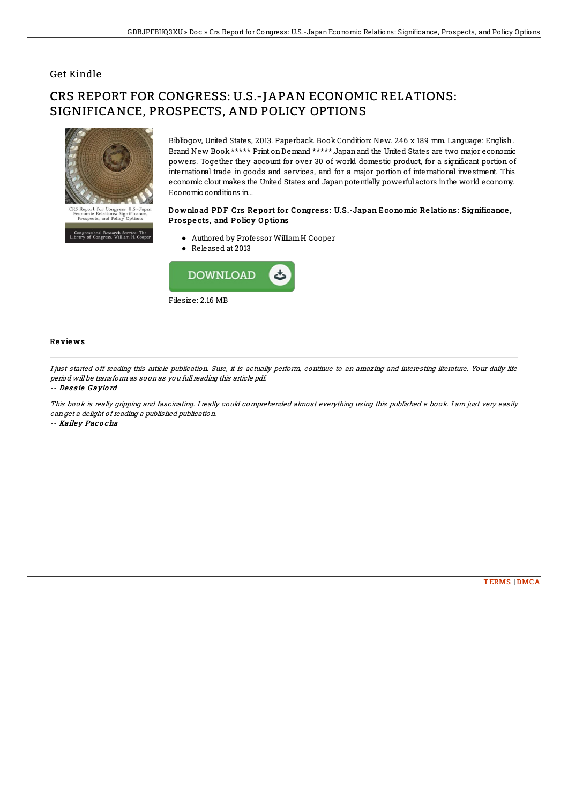## Get Kindle

# CRS REPORT FOR CONGRESS: U.S.-JAPAN ECONOMIC RELATIONS: SIGNIFICANCE, PROSPECTS, AND POLICY OPTIONS



ressional Research Service: Th<br>• of Congress, William H. Coo

Bibliogov, United States, 2013. Paperback. Book Condition: New. 246 x 189 mm. Language: English . Brand New Book \*\*\*\*\* Print onDemand \*\*\*\*\*.Japanand the United States are two major economic powers. Together they account for over 30 of world domestic product, for a significant portion of international trade in goods and services, and for a major portion of international investment. This economic clout makes the United States and Japanpotentially powerful actors inthe world economy. Economic conditions in...

#### Download PDF Crs Report for Congress: U.S.-Japan Economic Relations: Significance, Prospects, and Policy Options

- Authored by Professor WilliamH Cooper
- Released at 2013



### Re vie ws

I just started off reading this article publication. Sure, it is actually perform, continue to an amazing and interesting literature. Your daily life period will be transform as soon as you full reading this article pdf.

#### -- Dessie Gaylord

This book is really gripping and fascinating. I really could comprehended almost everything using this published <sup>e</sup> book. I am just very easily can get <sup>a</sup> delight of reading <sup>a</sup> published publication. -- Kaile y Pac <sup>o</sup> cha